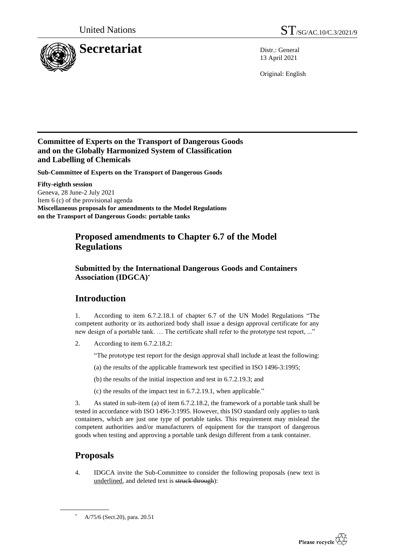

13 April 2021

Original: English

### **Committee of Experts on the Transport of Dangerous Goods and on the Globally Harmonized System of Classification and Labelling of Chemicals**

**Sub-Committee of Experts on the Transport of Dangerous Goods**

**Fifty-eighth session** Geneva, 28 June-2 July 2021 Item 6 (c) of the provisional agenda **Miscellaneous proposals for amendments to the Model Regulations on the Transport of Dangerous Goods: portable tanks**

## **Proposed amendments to Chapter 6.7 of the Model Regulations**

### **Submitted by the International Dangerous Goods and Containers Association (IDGCA)\***

# **Introduction**

1. According to item 6.7.2.18.1 of chapter 6.7 of the UN Model Regulations "The competent authority or its authorized body shall issue a design approval certificate for any new design of a portable tank. … The certificate shall refer to the prototype test report, ..."

2. According to item 6.7.2.18.2:

"The prototype test report for the design approval shall include at least the following:

- (a) the results of the applicable framework test specified in ISO 1496-3:1995;
- (b) the results of the initial inspection and test in 6.7.2.19.3; and
- (c) the results of the impact test in 6.7.2.19.1, when applicable."

3. As stated in sub-item (a) of item 6.7.2.18.2, the framework of a portable tank shall be tested in accordance with ISO 1496-3:1995. However, this ISO standard only applies to tank containers, which are just one type of portable tanks. This requirement may mislead the competent authorities and/or manufacturers of equipment for the transport of dangerous goods when testing and approving a portable tank design different from a tank container.

# **Proposals**

4. IDGCA invite the Sub-Committee to consider the following proposals (new text is underlined, and deleted text is struck through):



A/75/6 (Sect.20), para. 20.51